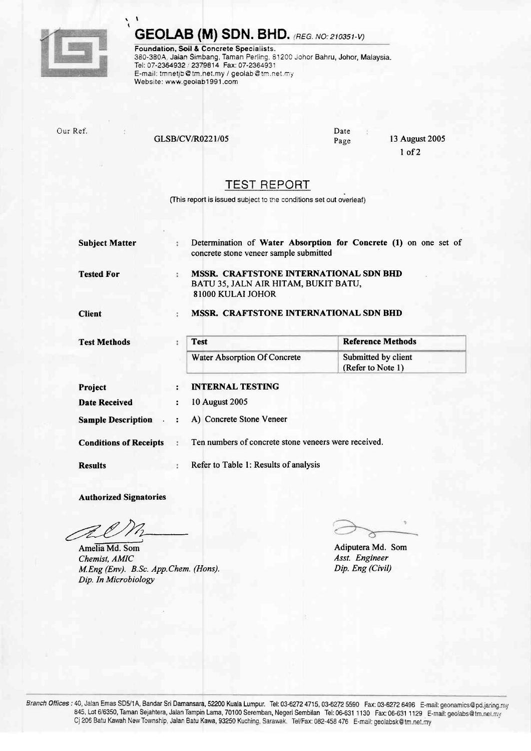

 $\blacksquare$ t

## **GEOLAB (M) SDN. BHD.** (REG. NO: 210351-V)

Foundation, Soil & Concrete Specialists. 380-380A, Jalan Simbang, Taman Perling, 81200 Johor Bahru, Johor, Malaysia. Tei: 07-2364932 / 2379814 Fax: 07-2364931 E-mail: tmnetjb@tm.net.my / geolab@tm.net.my Website: www.geolab1991.com

Our Ref.

GLSB/CV/R0221/05

Date Page

13 August 2005 I of2

## TEST REPORT

(This report is issued subject to the conditions set out overleaf)

| <b>Subject Matter</b>         | ÷                    | Determination of Water Absorption for Concrete (1) on one set of<br>concrete stone veneer sample submitted |                                          |  |  |  |  |  |  |  |
|-------------------------------|----------------------|------------------------------------------------------------------------------------------------------------|------------------------------------------|--|--|--|--|--|--|--|
| <b>Tested For</b>             | ÷                    | <b>MSSR. CRAFTSTONE INTERNATIONAL SDN BHD</b><br>BATU 35, JALN AIR HITAM, BUKIT BATU,<br>81000 KULAI JOHOR |                                          |  |  |  |  |  |  |  |
| <b>Client</b>                 |                      | MSSR. CRAFTSTONE INTERNATIONAL SDN BHD                                                                     |                                          |  |  |  |  |  |  |  |
| <b>Test Methods</b>           | ÷                    | <b>Test</b>                                                                                                | <b>Reference Methods</b>                 |  |  |  |  |  |  |  |
|                               |                      | Water Absorption Of Concrete                                                                               | Submitted by client<br>(Refer to Note 1) |  |  |  |  |  |  |  |
| Project                       | $\ddot{\phantom{a}}$ | <b>INTERNAL TESTING</b>                                                                                    |                                          |  |  |  |  |  |  |  |
| <b>Date Received</b>          | ÷                    | 10 August 2005                                                                                             |                                          |  |  |  |  |  |  |  |
| <b>Sample Description</b>     |                      | A) Concrete Stone Veneer                                                                                   |                                          |  |  |  |  |  |  |  |
| <b>Conditions of Receipts</b> |                      | Ten numbers of concrete stone veneers were received.                                                       |                                          |  |  |  |  |  |  |  |
| <b>Results</b>                |                      | Refer to Table 1: Results of analysis                                                                      |                                          |  |  |  |  |  |  |  |

Authorized Signatories

AmeliaMd. Som Chemist, AMIC M.Eng (Env). B.Sc. App.Chem. (Hons). Dip. In Microbiology

Adiputera Md. Som Asst. Engineer Dip. Eng (Civil)